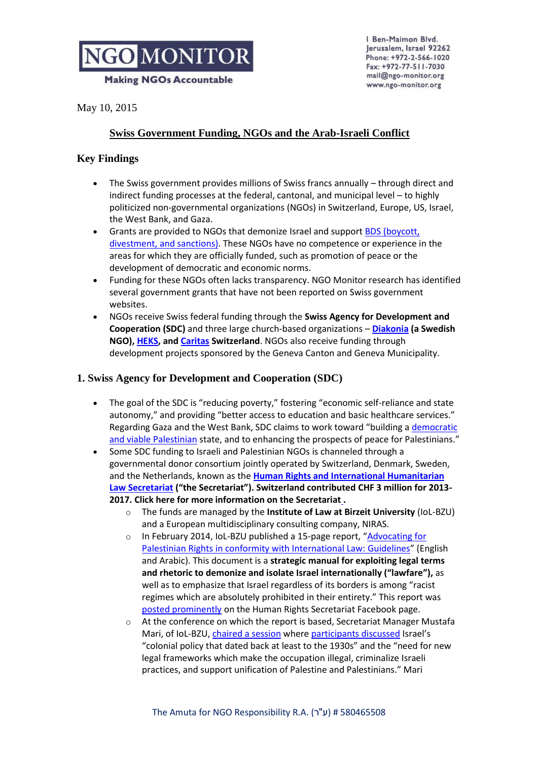**Making NGOs Accountable** 

Ben-Maimon Blvd. Jerusalem, Israel 92262 Phone: +972-2-566-1020 Fax: +972-77-511-7030 mail@ngo-monitor.org www.ngo-monitor.org

May 10, 2015

# **Swiss Government Funding, NGOs and the Arab-Israeli Conflict**

## **Key Findings**

- The Swiss government provides millions of Swiss francs annually through direct and indirect funding processes at the federal, cantonal, and municipal level – to highly politicized non-governmental organizations (NGOs) in Switzerland, Europe, US, Israel, the West Bank, and Gaza.
- Grants are provided to NGOs that demonize Israel and support **BDS** (boycott, [divestment, and sanctions\).](http://ngo-monitor.org/article.php?viewall=yes&id=86) These NGOs have no competence or experience in the areas for which they are officially funded, such as promotion of peace or the development of democratic and economic norms.
- Funding for these NGOs often lacks transparency. NGO Monitor research has identified several government grants that have not been reported on Swiss government websites.
- NGOs receive Swiss federal funding through the **Swiss Agency for Development and Cooperation (SDC)** and three large church-based organizations – **[Diakonia](http://ngo-monitor.org/article/diakonia) (a Swedish NGO)[, HEKS,](http://ngo-monitor.org/article/heks) and [Caritas](http://ngo-monitor.org/article/caritas) Switzerland**. NGOs also receive funding through development projects sponsored by the Geneva Canton and Geneva Municipality.

## **1. Swiss Agency for Development and Cooperation (SDC)**

- The goal of the SDC is "reducing poverty," fostering "economic self-reliance and state autonomy," and providing "better access to education and basic healthcare services." Regarding Gaza and the West Bank, SDC claims to work toward "building a [democratic](https://www.eda.admin.ch/countries/palestinian-authority/en/home/representations/swiss-cooperation-office-gaza-&-west-bank.html)  [and viable Palestinian](https://www.eda.admin.ch/countries/palestinian-authority/en/home/representations/swiss-cooperation-office-gaza-&-west-bank.html) state, and to enhancing the prospects of peace for Palestinians."
- Some SDC funding to Israeli and Palestinian NGOs is channeled through a governmental donor consortium jointly operated by Switzerland, Denmark, Sweden, and the Netherlands, known as the **[Human Rights and International Humanitarian](http://ngo-monitor.org/article/human_rights_and_international_law_secretariat_the_secretariat_)  [Law Secretariat](http://ngo-monitor.org/article/human_rights_and_international_law_secretariat_the_secretariat_) ("the Secretariat"). Switzerland contributed [CHF 3 million](http://www.sdc.admin.ch/en/Home/Projects/Project_Detail?projectdbID=228693#form2) for 2013- 2017. [Click here for more information on the Secretariat](http://www.ngo-monitor.org/article/human_rights_and_international_humanitarian_law_secretariat_denmark_sweden_switzerland_and_the_netherlands0) .**
	- o The funds are managed by the **Institute of Law at Birzeit University** (IoL-BZU) and a European multidisciplinary consulting company, NIRAS.
	- o In February 2014, IoL-BZU published a 15-page report, "[Advocating for](http://lawcenter.birzeit.edu/iol/en/project/outputfile/6/986afcc6c9.pdf)  [Palestinian Rights in conformity with International Law: Guidelines](http://lawcenter.birzeit.edu/iol/en/project/outputfile/6/986afcc6c9.pdf)" (English and Arabic). This document is a **strategic manual for exploiting legal terms and rhetoric to demonize and isolate Israel internationally ("lawfare"),** as well as to emphasize that Israel regardless of its borders is among "racist regimes which are absolutely prohibited in their entirety." This report was [posted prominently](https://www.facebook.com/HRIHLSecretariat) on the Human Rights Secretariat Facebook page.
	- o At the conference on which the report is based, Secretariat Manager Mustafa Mari, of IoL-BZU, [chaired a session](http://lawcenter.birzeit.edu/iol/en/index.php?action_id=106&id_legal=616) wher[e participants discussed](http://lawcenter.birzeit.edu/userfiles/Public_Report_BZU_Conference_FINAL.pdf) Israel's "colonial policy that dated back at least to the 1930s" and the "need for new legal frameworks which make the occupation illegal, criminalize Israeli practices, and support unification of Palestine and Palestinians." Mari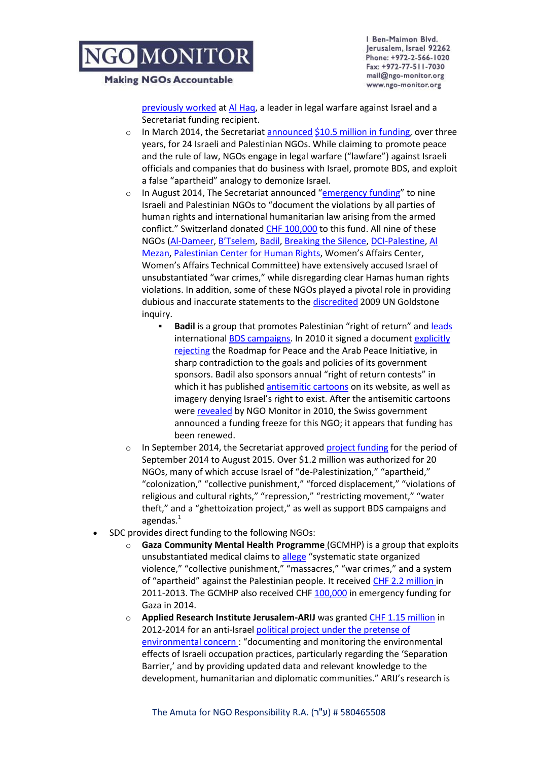#### **Making NGOs Accountable**

Ben-Maimon Blvd. Jerusalem, Israel 92262 Phone: +972-2-566-1020 Fax: +972-77-511-7030 mail@ngo-monitor.org www.ngo-monitor.org

[previously worked](http://www.linkedin.com/in/mmari) at [Al Haq,](http://www.ngo-monitor.org/article/al_haq) a leader in legal warfare against Israel and a Secretariat funding recipient.

- o In March 2014, the Secretaria[t announced](http://www.rightsecretariat.ps/files/14.03.30_Secretariat_PR_Launch_Event_FINAL.pdf) [\\$10.5 million in funding,](http://www.rightsecretariat.ps/files/14.03.30_Secretariat_PR_Launch_Event_FINAL.pdf) over three years, for 24 Israeli and Palestinian NGOs. While claiming to promote peace and the rule of law, NGOs engage in legal warfare ("lawfare") against Israeli officials and companies that do business with Israel, promote BDS, and exploit a false "apartheid" analogy to demonize Israel.
- o In August 2014, The Secretariat announced "[emergency funding](http://www.ngo-monitor.org/article/european_governments_funding_ngo_documentation_for_lawfare_attacks)" to nine Israeli and Palestinian NGOs to "document the violations by all parties of human rights and international humanitarian law arising from the armed conflict." Switzerland donated [CHF 100,000](https://www.eda.admin.ch/content/dam/deza/en/documents/Laender/Humanit%C3%A4re-Krise-im-Gazastreifen_EN.pdf) to this fund. All nine of these NGOs [\(Al-Dameer,](http://www.ngo-monitor.org/article/al_dameer) [B'Tselem](http://www.ngo-monitor.org/article/b_tselem)[, Badil,](http://www.ngo-monitor.org/article/badil) [Breaking the Silence,](http://www.ngo-monitor.org/article/breaking_the_silence_shovirm_shtika_) [DCI-Palestine,](http://www.ngo-monitor.org/article/defence_for_children_international_palestine_section) [Al](http://www.ngo-monitor.org/article/al_mezan_center_for_human_rights)  [Mezan,](http://www.ngo-monitor.org/article/al_mezan_center_for_human_rights) [Palestinian Center for Human Rights](http://www.ngo-monitor.org/article/palestinian_center_for_human_rights_pchr_), Women's Affairs Center, Women's Affairs Technical Committee) have extensively accused Israel of unsubstantiated "war crimes," while disregarding clear Hamas human rights violations. In addition, some of these NGOs played a pivotal role in providing dubious and inaccurate statements to th[e discredited](http://www.washingtonpost.com/opinions/reconsidering-the-goldstone-report-on-israel-and-war-crimes/2011/04/01/AFg111JC_story.html) 2009 UN Goldstone inquiry.
	- **Badil** is a group that promotes Palestinian "right of return" and [leads](http://www.badil.org/en/al-majdal/itemlist/category/240-al-majdal54) internationa[l BDS campaigns.](http://www.ngo-monitor.org/article/ngo_leadership_in_boycott_and_divestment_campaigns) In 2010 it signed a documen[t explicitly](http://www.badil.org/ar/press-releases/135-2010/2863-press-eng-32)  [rejecting](http://www.badil.org/ar/press-releases/135-2010/2863-press-eng-32) the Roadmap for Peace and the Arab Peace Initiative, in sharp contradiction to the goals and policies of its government sponsors. Badil also sponsors annual "right of return contests" in which it has published [antisemitic cartoons](http://www.ngo-monitor.org/article/badil#cartoon) on its website, as well as imagery denying Israel's right to exist. After the antisemitic cartoons were [revealed](http://ngo-monitor.org/article/badil#cartoon) by NGO Monitor in 2010, the Swiss government announced a funding freeze for this NGO; it appears that funding has been renewed.
- $\circ$  In September 2014, the Secretariat approved [project funding](http://www.rightsecretariat.ps/our-work/grantees/project-funding) for the period of September 2014 to August 2015. Over \$1.2 million was authorized for 20 NGOs, many of which accuse Israel of "de-Palestinization," "apartheid," "colonization," "collective punishment," "forced displacement," "violations of religious and cultural rights," "repression," "restricting movement," "water theft," and a "ghettoization project," as well as support BDS campaigns and agendas. $1$
- SDC provides direct funding to the following NGOs:
	- o **[Gaza Community Mental Health Programme](http://www.ngo-monitor.org/article/gaza_community_mental_health_programme_gcmhp_0http:/www.ngo-monitor.org/article/gaza_community_mental_health_programme_gcmhp_0)** (GCMHP) is a group that exploits unsubstantiated medical claims to [allege](http://www.gcmhp.net/en/index.php?option=com_k2&view=itemlist&layout=category&task=category&id=60&Itemid=104) "systematic state organized violence," "collective punishment," "massacres," "war crimes," and a system of "apartheid" against the Palestinian people. It received [CHF 2.2 million i](https://www.eda.admin.ch/countries/palestinian-authority/en/home/international-cooperation/projects.html/content/projects/SDC/en/1997/7F02784/phase6?oldPagePath=/content/countries/palestinian-authority/en/home/internationale-zusammenarbeit/projekte.html)n 2011-2013. The GCMHP also received CHF [100,000](https://www.eda.admin.ch/content/dam/deza/en/documents/Laender/Humanit%C3%A4re-Krise-im-Gazastreifen_EN.pdf) in emergency funding for Gaza in 2014.
	- o **[Applied Research Institute Jerusalem-ARIJ](http://www.ngo-monitor.org/article/applied_research_institute_jerusalem_arij_)** was granted [CHF 1.15 million](http://www.sdc.admin.ch/en/Home/Projects/Project_Detail?projectdbID=213549#form2) in 2012-2014 for an anti-Israel political project under the pretense of [environmental concern](http://www.sdc.admin.ch/en/Home/Projects/Project_Detail?projectdbID=213549#form2) : "documenting and monitoring the environmental effects of Israeli occupation practices, particularly regarding the 'Separation Barrier,' and by providing updated data and relevant knowledge to the development, humanitarian and diplomatic communities." ARIJ's research is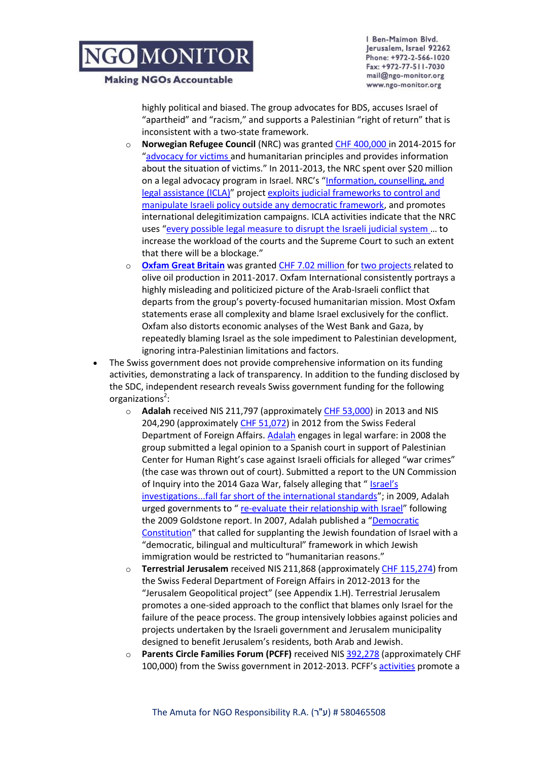**Making NGOs Accountable** 

Ben-Maimon Blvd. Jerusalem, Israel 92262 Phone: +972-2-566-1020 Fax: +972-77-511-7030 mail@ngo-monitor.org www.ngo-monitor.org

highly political and biased. The group advocates for BDS, accuses Israel of "apartheid" and "racism," and supports a Palestinian "right of return" that is inconsistent with a two-state framework.

- **[Norwegian Refugee Council](http://www.ngo-monitor.org/article/norwegian_refugee_council_)** (NRC) was granted [CHF 400,000 i](https://www.eda.admin.ch/countries/palestinian-authority/en/home/international-cooperation/projects.html/content/projects/SDC/en/2013/7F08637/phase2.html?oldPagePath=/content/countries/palestinian-authority/en/home/internationale-zusammenarbeit/projekte.html)n 2014-2015 for "[advocacy for victims a](https://www.eda.admin.ch/countries/palestinian-authority/en/home/international-cooperation/projects.html/content/projects/SDC/en/2013/7F08637/phase2?oldPagePath=/content/countries/palestinian-authority/en/home/internationale-zusammenarbeit/projekte.html)nd humanitarian principles and provides information about the situation of victims." In 2011-2013, the NRC spent over \$20 million on a legal advocacy program in Israel. NRC's "[Information, counselling, and](http://www.nrc.no/default.aspx?aid=9147817#.VKFGbF4AAA)  [legal assistance \(ICLA\)](http://www.nrc.no/default.aspx?aid=9147817#.VKFGbF4AAA)" projec[t exploits judicial frameworks to control and](http://ngo-monitor.org/data/images/File/NGO_Monitor-Report_Norwegian_Refugee_Council%20%281%29.pdf)  [manipulate Israeli policy outside any democratic framework,](http://ngo-monitor.org/data/images/File/NGO_Monitor-Report_Norwegian_Refugee_Council%20%281%29.pdf) and promotes international delegitimization campaigns. ICLA activities indicate that the NRC uses "[every possible legal measure to disrupt the Israeli judicial system](https://web.archive.org/web/20131108232402/http:/www.kerkinactie.nl/Verhalen-uit-het-veld/Enkele-strategie%C3%ABn--b1276) … to increase the workload of the courts and the Supreme Court to such an extent that there will be a blockage."
- o **[Oxfam Great Britain](http://ngo-monitor.org/article/oxfam)** was grante[d CHF 7.02 million f](https://www.eda.admin.ch/countries/palestinian-authority/en/home/international-cooperation/projects.html/content/projects/SDC/en/2006/7F04601/phase3?oldPagePath=/content/countries/palestinian-authority/en/home/internationale-zusammenarbeit/projekte.html)o[r two projects r](https://www.eda.admin.ch/countries/palestinian-authority/en/home/international-cooperation/projects.html/content/projects/SDC/en/2011/7F07340/phase1?oldPagePath=/content/countries/palestinian-authority/en/home/internationale-zusammenarbeit/projekte.html)elated to olive oil production in 2011-2017. Oxfam International consistently portrays a highly misleading and politicized picture of the Arab-Israeli conflict that departs from the group's poverty-focused humanitarian mission. Most Oxfam statements erase all complexity and blame Israel exclusively for the conflict. Oxfam also distorts economic analyses of the West Bank and Gaza, by repeatedly blaming Israel as the sole impediment to Palestinian development, ignoring intra-Palestinian limitations and factors.
- The Swiss government does not provide comprehensive information on its funding activities, demonstrating a lack of transparency. In addition to the funding disclosed by the SDC, independent research reveals Swiss government funding for the following organizations<sup>2</sup>:
	- o **[Adalah](http://ngo-monitor.org/article/adalah)** received NIS 211,797 (approximatel[y CHF 53,000\)](http://index.justice.gov.il/Units/RasutHataagidim/units/RashamAmutot/services/Pages/amuttview.aspx) in 2013 and NIS 204,290 (approximately [CHF 51,072\)](http://www.ngo-monitor.org/tlaw/) in 2012 from the Swiss Federal Department of Foreign Affairs. [Adalah](http://www.ngo-monitor.org/article/adalah) engages in legal warfare: in 2008 the group submitted a legal opinion to a Spanish court in support of Palestinian Center for Human Right's case against Israeli officials for alleged "war crimes" (the case was thrown out of court). Submitted a report to the UN Commission of Inquiry into the 2014 Gaza War, falsely alleging that " Israel's [investigations...fall far short of the international standards](http://www.adalah.org/en/content/view/8417)"; in 2009, Adalah urged governments to " [re-evaluate their relationship with Israel](http://www.adalah.org/eng/Articles/980/Palestinian-Human-Rights-Organizations-Support-)" following the 2009 Goldstone report. In 2007, Adalah published a "[Democratic](http://adalah.org/eng/Articles/1483/The-Democratic-Constitution)  [Constitution](http://adalah.org/eng/Articles/1483/The-Democratic-Constitution)" that called for supplanting the Jewish foundation of Israel with a "democratic, bilingual and multicultural" framework in which Jewish immigration would be restricted to "humanitarian reasons."
	- o **[Terrestrial Jerusalem](http://ngo-monitor.org/article/terrestrial_jerusalem)** received NIS 211,868 (approximatel[y CHF 115,274\)](http://www.justice.gov.il/MOJHeb/RasutHataagidim/RashamAmutot/BatzaBaatar/amuttview.htm) from the Swiss Federal Department of Foreign Affairs in 2012-2013 for the "Jerusalem Geopolitical project" (see Appendix 1.H). Terrestrial Jerusalem promotes a one-sided approach to the conflict that blames only Israel for the failure of the peace process. The group intensively lobbies against policies and projects undertaken by the Israeli government and Jerusalem municipality designed to benefit Jerusalem's residents, both Arab and Jewish.
	- o **[Parents Circle Families Forum \(PCFF\)](http://ngo-monitor.org/article/parents_circle_families_forum)** received NI[S 392,278](http://www.ngo-monitor.org/tlaw/) (approximately CHF 100,000) from the Swiss government in 2012-2013. PCFF's [activities](http://www.theparentscircle.com/) promote a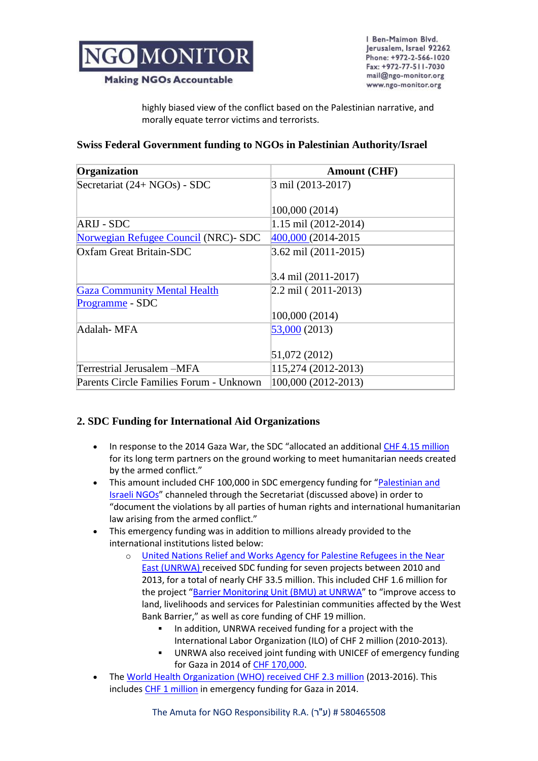

Ben-Maimon Blvd. Jerusalem, Israel 92262 Phone: +972-2-566-1020 Fax: +972-77-511-7030 mail@ngo-monitor.org www.ngo-monitor.org

**Making NGOs Accountable** 

highly biased view of the conflict based on the Palestinian narrative, and morally equate terror victims and terrorists.

### **Swiss Federal Government funding to NGOs in Palestinian Authority/Israel**

| Organization                            | <b>Amount (CHF)</b>   |
|-----------------------------------------|-----------------------|
| Secretariat (24+ NGOs) - SDC            | 3 mil (2013-2017)     |
|                                         |                       |
|                                         | 100,000 (2014)        |
| ARIJ - SDC                              | 1.15 mil (2012-2014)  |
| Norwegian Refugee Council (NRC)- SDC    | 400,000 (2014-2015)   |
| Oxfam Great Britain-SDC                 | 3.62 mil (2011-2015)  |
|                                         |                       |
|                                         | 3.4 mil (2011-2017)   |
| <b>Gaza Community Mental Health</b>     | $2.2$ mil (2011-2013) |
| Programme - SDC                         |                       |
|                                         | 100,000 (2014)        |
| Adalah-MFA                              | 53,000 (2013)         |
|                                         |                       |
|                                         | 51,072 (2012)         |
| Terrestrial Jerusalem –MFA              | 115,274 (2012-2013)   |
| Parents Circle Families Forum - Unknown | 100,000 (2012-2013)   |

## **2. SDC Funding for International Aid Organizations**

- In response to the 2014 Gaza War, the SDC "allocated an additional [CHF 4.15 million](https://www.eda.admin.ch/content/dam/deza/en/documents/Laender/Humanit%C3%A4re-Krise-im-Gazastreifen_EN.pdf) for its long term partners on the ground working to meet humanitarian needs created by the armed conflict."
- This amount included CHF 100,000 in SDC emergency funding for "Palestinian and [Israeli NGOs](https://www.eda.admin.ch/content/dam/deza/en/documents/Laender/Humanit%C3%A4re-Krise-im-Gazastreifen_EN.pdf)" channeled through the Secretariat (discussed above) in order to "document the violations by all parties of human rights and international humanitarian law arising from the armed conflict."
- This emergency funding was in addition to millions already provided to the international institutions listed below:
	- o [United Nations Relief and Works Agency for Palestine Refugees in the Near](http://www.ngo-monitor.org/article/un_relief_and_works_agency_unrwa_http:/www.ngo-monitor.org/article/un_relief_and_works_agency_unrwa_)  [East \(UNRWA\) r](http://www.ngo-monitor.org/article/un_relief_and_works_agency_unrwa_http:/www.ngo-monitor.org/article/un_relief_and_works_agency_unrwa_)eceived SDC funding for seven projects between 2010 and 2013, for a total of nearly CHF 33.5 million. This included CHF 1.6 million for the project "[Barrier Monitoring Unit \(BMU\) at UNRWA](https://www.eda.admin.ch/countries/palestinian-authority/en/home/international-cooperation/projects.html/content/projects/SDC/en/2010/7F07188/phase1?oldPagePath=/content/countries/palestinian-authority/en/home/internationale-zusammenarbeit/projekte.html)" to "improve access to land, livelihoods and services for Palestinian communities affected by the West Bank Barrier," as well as core funding of CHF 19 million.
		- In addition, UNRWA received funding for a project with the International Labor Organization (ILO) of CHF 2 million (2010-2013).
		- UNRWA also received joint funding with UNICEF of emergency funding for Gaza in 2014 of [CHF 170,000.](https://www.eda.admin.ch/content/dam/deza/en/documents/Laender/Humanit%C3%A4re-Krise-im-Gazastreifen_EN.pdf)
- The [World Health Organization \(WHO\) received CHF 2.3 million](http://www.sdc.admin.ch/en/Home/Projects/Project_Detail?projectdbID=223129#form2) (2013-2016). This includes [CHF 1 million](https://www.eda.admin.ch/content/dam/deza/en/documents/Laender/Humanit%C3%A4re-Krise-im-Gazastreifen_EN.pdf) in emergency funding for Gaza in 2014.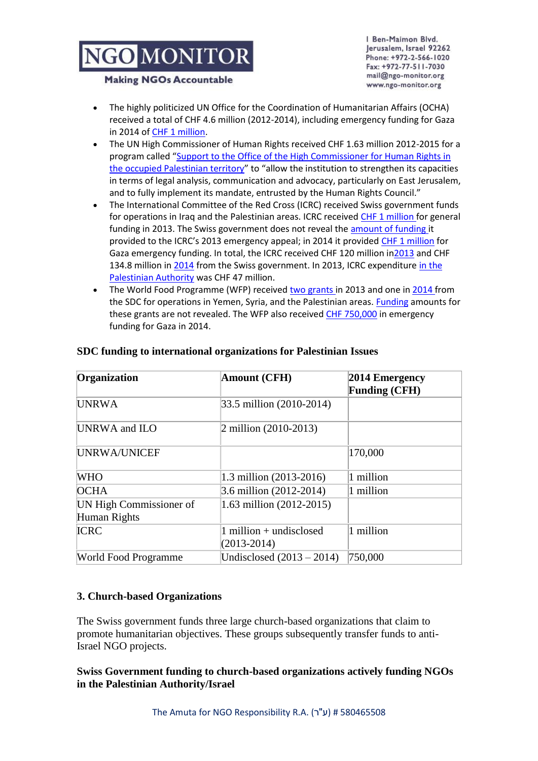Ben-Maimon Blvd. Jerusalem, Israel 92262 Phone: +972-2-566-1020 Fax: +972-77-511-7030 mail@ngo-monitor.org www.ngo-monitor.org

#### **Making NGOs Accountable**

- The highly politicized UN Office for the Coordination of Humanitarian Affairs (OCHA) received a total of CHF 4.6 million (2012-2014), including emergency funding for Gaza in 2014 of [CHF 1 million.](https://www.eda.admin.ch/content/dam/deza/en/documents/Laender/Humanit%C3%A4re-Krise-im-Gazastreifen_EN.pdf)
- The UN High Commissioner of Human Rights received CHF 1.63 million 2012-2015 for a program called "[Support to the Office of the High Commissioner for Human Rights in](https://www.eda.admin.ch/countries/palestinian-authority/en/home/international-cooperation/projects.html/content/projects/SDC/en/2012/7F08066/phase1?oldPagePath=/content/countries/palestinian-authority/en/home/internationale-zusammenarbeit/projekte.html)  [the occupied Palestinian territory](https://www.eda.admin.ch/countries/palestinian-authority/en/home/international-cooperation/projects.html/content/projects/SDC/en/2012/7F08066/phase1?oldPagePath=/content/countries/palestinian-authority/en/home/internationale-zusammenarbeit/projekte.html)" to "allow the institution to strengthen its capacities in terms of legal analysis, communication and advocacy, particularly on East Jerusalem, and to fully implement its mandate, entrusted by the Human Rights Council."
- The International Committee of the Red Cross (ICRC) received Swiss government funds for operations in Iraq and the Palestinian areas. ICRC received [CHF 1 million f](https://www.eda.admin.ch/countries/palestinian-authority/en/home/international-cooperation/projects.html/content/projects/SDC/en/2013/7F08393/phase3?oldPagePath=/content/countries/palestinian-authority/en/home/internationale-zusammenarbeit/projekte.html)or general funding in 2013. The Swiss government does not reveal the [amount of funding i](https://www.eda.admin.ch/countries/palestinian-authority/en/home/international-cooperation/projects.html/content/projects/SDC/en/2003/7F02837/phase97?oldPagePath=/content/countries/palestinian-authority/en/home/internationale-zusammenarbeit/projekte.html)t provided to the ICRC's 2013 emergency appeal; in 2014 it provided [CHF 1 million](https://www.eda.admin.ch/content/dam/deza/en/documents/Laender/Humanit%C3%A4re-Krise-im-Gazastreifen_EN.pdf) for Gaza emergency funding. In total, the ICRC received CHF 120 million i[n2013](http://www.icrc.org/eng/assets/files/annual-report/current/icrc-annual-report-financial-overview-2013-eng.pdf) and CHF 134.8 million in [2014](http://www.sdc.admin.ch/en/Home/Activities/Multilateral_cooperation/List_of_multilateral_organisations/ICRC_Red_Cross) from the Swiss government. In 2013, ICRC expenditure in the [Palestinian Authority](http://www.icrc.org/eng/assets/files/annual-report/current/icrc-annual-report-israel.pdf) was CHF 47 million.
- The World Food Programme (WFP) received [two grants i](https://www.eda.admin.ch/countries/palestinian-authority/en/home/international-cooperation/projects.html/content/projects/SDC/en/2003/7F03297/phase23?oldPagePath=/content/countries/palestinian-authority/en/home/internationale-zusammenarbeit/projekte.html)n 2013 and one i[n 2014 f](https://www.eda.admin.ch/countries/palestinian-authority/en/home/international-cooperation/projects.html/content/projects/SDC/en/2003/7F03297/phase27?oldPagePath=/content/countries/palestinian-authority/en/home/internationale-zusammenarbeit/projekte.html)rom the SDC for operations in Yemen, Syria, and the Palestinian areas. [Funding](https://www.eda.admin.ch/countries/palestinian-authority/en/home/international-cooperation/projects.html/content/projects/SDC/en/2003/7F03297/phase24?oldPagePath=/content/countries/palestinian-authority/en/home/internationale-zusammenarbeit/projekte.html) amounts for these grants are not revealed. The WFP also received [CHF 750,000](https://www.eda.admin.ch/content/dam/deza/en/documents/Laender/Humanit%C3%A4re-Krise-im-Gazastreifen_EN.pdf) in emergency funding for Gaza in 2014.

| Organization                            | Amount (CFH)                                 | 2014 Emergency<br><b>Funding (CFH)</b> |
|-----------------------------------------|----------------------------------------------|----------------------------------------|
| <b>UNRWA</b>                            | 33.5 million (2010-2014)                     |                                        |
| UNRWA and ILO                           | 2 million $(2010-2013)$                      |                                        |
| UNRWA/UNICEF                            |                                              | 170,000                                |
| <b>WHO</b>                              | 1.3 million (2013-2016)                      | 1 million                              |
| <b>OCHA</b>                             | 3.6 million (2012-2014)                      | 1 million                              |
| UN High Commissioner of<br>Human Rights | 1.63 million $(2012-2015)$                   |                                        |
| <b>ICRC</b>                             | $1$ million + undisclosed<br>$(2013 - 2014)$ | 1 million                              |
| <b>World Food Programme</b>             | Undisclosed $(2013 - 2014)$                  | 750,000                                |

### **SDC funding to international organizations for Palestinian Issues**

## **3. Church-based Organizations**

The Swiss government funds three large church-based organizations that claim to promote humanitarian objectives. These groups subsequently transfer funds to anti-Israel NGO projects.

### **Swiss Government funding to church-based organizations actively funding NGOs in the Palestinian Authority/Israel**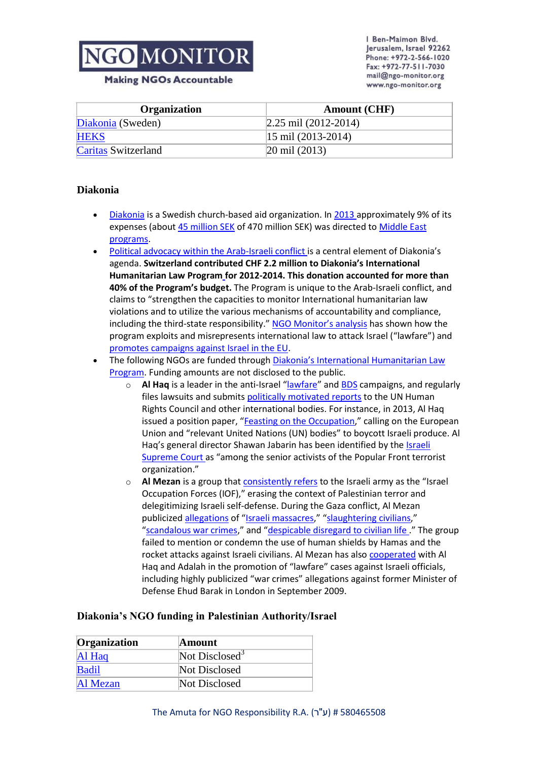**Making NGOs Accountable** 

Ben-Maimon Blvd. Jerusalem, Israel 92262 Phone: +972-2-566-1020 Fax: +972-77-511-7030 mail@ngo-monitor.org www.ngo-monitor.org

| <b>Organization</b>        | <b>Amount (CHF)</b>                  |
|----------------------------|--------------------------------------|
| Diakonia (Sweden)          | $\left 2.25 \right $ mil (2012-2014) |
| <b>HEKS</b>                | $ 15 \text{ mil} (2013 - 2014) $     |
| <b>Caritas Switzerland</b> | $ 20 \text{ mil} (2013) $            |

### **[Diakonia](http://ngo-monitor.org/article/diakonia)**

- [Diakonia](http://www.ngo-monitor.org/article/diakonia) is a Swedish church-based aid organization. In [2013 a](http://www.diakonia.se/en/Info/About-us/Finances/Diakonias-funds-charts/http:/www.diakonia.se/globalassets/documents/diakonia/publications/annual-reports/annual_report-2012.pdf)pproximately 9% of its expenses (about [45 million SEK](http://www.diakonia.se/globalassets/documents/diakonia/publications/annual-reports/annualreportdiakonia2013.pdf) of 470 million SEK) was directed t[o Middle East](http://www.diakonia.se/en/Where-we-work/Middle-EastNorth-Africa/)  [programs.](http://www.diakonia.se/en/Where-we-work/Middle-EastNorth-Africa/)
- [Political advocacy within the Arab-Israeli conflict](http://www.diakonia.se/en/Where-we-work/Middle-EastNorth-Africa/Israel-and-Palestine-oPt/) is a central element of Diakonia's agenda. **Switzerland contribute[d CHF 2.2 million](http://www.sdc.admin.ch/en/Home/Projects/Project_Detail?projectdbID=216335#form2) to Diakonia's [International](http://www.diakonia.se/en/How-we-work/Advocacy-and-policy/Conflict-and-justice/Peace-and-justice-in-Israel-and-Palestine/International-humanitarian-law/)  [Humanitarian Law Program](http://www.diakonia.se/en/How-we-work/Advocacy-and-policy/Conflict-and-justice/Peace-and-justice-in-Israel-and-Palestine/International-humanitarian-law/) for 2012-2014. This donation accounted for more than 40% of the Program's budget.** The Program is unique to the Arab-Israeli conflict, and claims to "strengthen the capacities to monitor International humanitarian law violations and to utilize the various mechanisms of accountability and compliance, including the third-state responsibility." [NGO Monitor's analysis](http://www.ngo-monitor.org/article/diakonia_an_analysis_of_activities_in_the_arab_israeli_conflict) has shown how the program exploits and misrepresents international law to attack Israel ("lawfare") and [promotes campaigns against Israel in the EU.](http://www.diakonia.se/en/Info/News--Publications/Reports-from-Diakonia-/Trading-away-peace/)
- The following NGOs are funded through Diakonia['s International Humanitarian Law](http://www.diakonia.se/en/IHL/About/Partners/)  [Program.](http://www.diakonia.se/en/IHL/About/Partners/) Funding amounts are not disclosed to the public.
	- o **[Al Haq](http://ngo-monitor.org/article/al_haq)** is a leader in the anti-Israel "[lawfare](http://www.ngo-monitor.org/data/images/File/lawfare-monograph.pdf)" and [BDS](http://ngo-monitor.org/article.php?viewall=yes&id=86) campaigns, and regularly files lawsuits and submit[s politically motivated reports](http://www.ngo-monitor.org/article/ngos_propogandize_at_un_periodic_review_of_israel) to the UN Human Rights Council and other international bodies. For instance, in 2013, Al Haq issued a position paper, "[Feasting on the Occupation](http://www.alhaq.org/publications/Feasting-on-the-occupation.pdf)," calling on the European Union and "relevant United Nations (UN) bodies" to boycott Israeli produce. Al Haq's general director Shawan Jabarin has been identified by th[e Israeli](http://www.thedailybeast.com/articles/2011/02/15/shawan-jabarins-controversial-appointment-to-human-rights-watch-board.html)  [Supreme Court](http://www.thedailybeast.com/articles/2011/02/15/shawan-jabarins-controversial-appointment-to-human-rights-watch-board.html) as "among the senior activists of the Popular Front terrorist organization."
	- o **[Al Mezan](http://ngo-monitor.org/article/al_mezan_center_for_human_rights)** is a group that [consistently refers](http://www.mezan.org/en/details.php?id=2021&ddname=ESC%20rights&id_dept=9&id2=9&p=center) to the Israeli army as the "Israel Occupation Forces (IOF)," erasing the context of Palestinian terror and delegitimizing Israeli self-defense. During the Gaza conflict, Al Mezan publicize[d allegations](http://www.ngo-monitor.org/article/al_mezan_center_for_human_rights) of "[Israeli massacres](http://www.mezan.org/en/details.php?id=1522&ddname=gaza%20destruction&id_dept=9&id2=9&p=center)," "[slaughtering civilians](http://www.mezan.org/en/details.php?id=1498&ddname=gaza%20destruction&id_dept=9&id2=9&p=center)," "[scandalous war crimes](http://www.mezan.org/en/details.php?id=1498&ddname=gaza%20destruction&id_dept=9&id2=9&p=center)," and "[despicable disregard to civilian life](http://www.mezan.org/en/details.php?id=1519&ddname=gaza%20destruction&id_dept=9&id2=9&p=center) ." The group failed to mention or condemn the use of human shields by Hamas and the rocket attacks against Israeli civilians. Al Mezan has als[o cooperated](http://www.mezan.org/en/details.php?id=9104&ddname=Crimes&id2=6&id_dept=14&p=center) with Al Haq and Adalah in the promotion of "lawfare" cases against Israeli officials, including highly publicized "war crimes" allegations against former Minister of Defense Ehud Barak in London in September 2009.

### **Diakonia's NGO funding in Palestinian Authority/Israel**

| Organization | <b>Amount</b>              |
|--------------|----------------------------|
| Al Haq       | Not Disclosed <sup>3</sup> |
| <b>Badil</b> | Not Disclosed              |
| Al Mezan     | Not Disclosed              |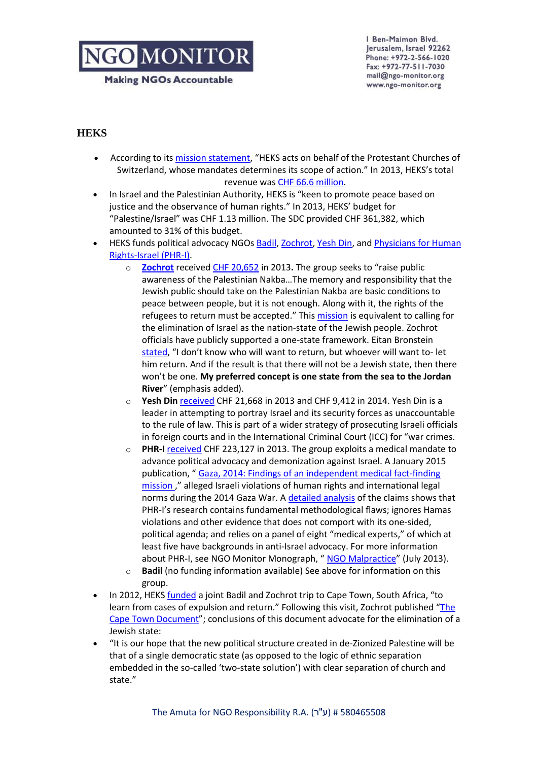**Making NGOs Accountable** 

Ben-Maimon Blvd. Jerusalem, Israel 92262 Phone: +972-2-566-1020 Fax: +972-77-511-7030 mail@ngo-monitor.org www.ngo-monitor.org

### **[HEKS](http://ngo-monitor.org/article/heks)**

- According to its [mission statement](http://www.heks.ch/fileadmin/user_upload/domain1/1_news_and_service/pdf/Materialien/Missionstatement_HEKS_e_A4.pdf), "HEKS acts on behalf of the Protestant Churches of Switzerland, whose mandates determines its scope of action." In 2013, HEKS's total revenue wa[s CHF 66.6 million.](http://heks2013.ch/en/overview/facts_figures.html)
- In Israel and the Palestinian Authority, HEKS is "keen to promote peace based on justice and the observance of human rights." In 2013, HEKS' budget for "Palestine/Israel" was CHF 1.13 million. The SDC provided CHF 361,382, which amounted to 31% of this budget.
- HEKS funds political advocacy NGOs [Badil,](http://www.badil.org/al-majdal/item/1768-art8) [Zochrot,](http://ngo-monitor.org/article/zochrot) [Yesh Din,](http://ngo-monitor.org/article/yesh_din_volunteers_for_human_rights) and [Physicians for Human](http://ngo-monitor.org/article/physicians_for_human_rights_israel_)  [Rights-Israel \(PHR-I\).](http://ngo-monitor.org/article/physicians_for_human_rights_israel_)
	- o **[Zochrot](http://ngo-monitor.org/article/zochrot)** received [CHF 20,652](http://www.justice.gov.il/MOJHeb/RasutHataagidim/RashamAmutot/BatzaBaatar/amuttview.htm) in 2013**.** The group seeks to "raise public awareness of the Palestinian Nakba…The memory and responsibility that the Jewish public should take on the Palestinian Nakba are basic conditions to peace between people, but it is not enough. Along with it, the rights of the refugees to return must be accepted." This [mission](http://zochrot.org/en/menu/%D7%96%D7%95%D7%9B%D7%A8%D7%95%D7%AA/%D7%9E%D7%99-%D7%90%D7%A0%D7%97%D7%A0%D7%95) is equivalent to calling for the elimination of Israel as the nation-state of the Jewish people. Zochrot officials have publicly supported a one-state framework. Eitan Bronstein [stated](http://zochrot.org/en/content/right-remembrance), "I don't know who will want to return, but whoever will want to- let him return. And if the result is that there will not be a Jewish state, then there won't be one. **My preferred concept is one state from the sea to the Jordan River**" (emphasis added).
	- o **[Yesh Din](http://ngo-monitor.org/article/yesh_din_volunteers_for_human_rights)** [received](http://www.ngo-monitor.org/tlaw/) CHF 21,668 in 2013 and CHF 9,412 in 2014. Yesh Din is a leader in attempting to portray Israel and its security forces as unaccountable to the rule of law. This is part of a wider strategy of prosecuting Israeli officials in foreign courts and in the International Criminal Court (ICC) for "war crimes.
	- o **[PHR-I](http://ngo-monitor.org/article/physicians_for_human_rights_israel_)** [received](http://www.ngo-monitor.org/tlaw/) CHF 223,127 in 2013. The group exploits a medical mandate to advance political advocacy and demonization against Israel. A January 2015 publication, " [Gaza, 2014: Findings of an independent medical fact-finding](https://gazahealthattack.files.wordpress.com/2015/01/gazareport_eng.pdf)  [mission](https://gazahealthattack.files.wordpress.com/2015/01/gazareport_eng.pdf) ," alleged Israeli violations of human rights and international legal norms during the 2014 Gaza War. A [detailed analysis](http://www.ngo-monitor.org/article/physicians_for_human_rights_israel_gaza_mission_no_independence_no_facts_no_evidence) of the claims shows that PHR-I's research contains fundamental methodological flaws; ignores Hamas violations and other evidence that does not comport with its one-sided, political agenda; and relies on a panel of eight "medical experts," of which at least five have backgrounds in anti-Israel advocacy. For more information about PHR-I, see NGO Monitor Monograph, "[NGO Malpractice](http://www.ngo-monitor.org/article/ngo_malpractice_the_political_abuse_of_medicine_morality_and_science)" (July 2013).
	- o **[Badil](http://ngo-monitor.org/article/badil)** (no funding information available) See above for information on this group.
- In 2012, HEKS [funded](http://www.badil.org/al-majdal/item/1768-art8) a joint Badil and Zochrot trip to Cape Town, South Africa, "to learn from cases of expulsion and return." Following this visit, Zochrot published "The [Cape Town Document](http://zochrot.org/uploads/uploads/1e00cb835033f77873fe93c7ab1ae4fc.pdf)"; conclusions of this document advocate for the elimination of a Jewish state:
- "It is our hope that the new political structure created in de-Zionized Palestine will be that of a single democratic state (as opposed to the logic of ethnic separation embedded in the so-called 'two-state solution') with clear separation of church and state."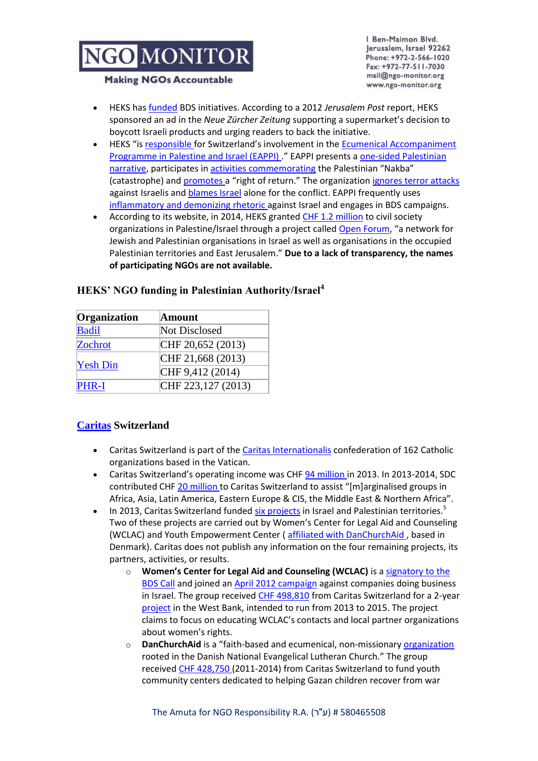Ben-Maimon Blvd. Jerusalem, Israel 92262 Phone: +972-2-566-1020 Fax: +972-77-511-7030 mail@ngo-monitor.org www.ngo-monitor.org

#### **Making NGOs Accountable**

- HEKS ha[s funded](http://www.jpost.com/International/Swiss-Jews-slam-supermarket-boycott-of-settlement-products) BDS initiatives. According to a 2012 *Jerusalem Post* report, HEKS sponsored an ad in the *Neue Zürcher Zeitung* supporting a supermarket's decision to boycott Israeli products and urging readers to back the initiative.
- HEKS "is [responsible](http://www.heks.ch/en/worldwide/list-of-projects-worldwide/details/?tx_heksprodaba_pi2%5Buid%5D=555&cHash=022f2f9114776aa28678280aba59b8d9) for Switzerland's involvement in the [Ecumenical Accompaniment](http://www.ngo-monitor.org/article/ecumenical_accompaniment_programme_in_palestine_and_israel_eappi_)  [Programme in Palestine and Israel \(EAPPI\)](http://www.ngo-monitor.org/article/ecumenical_accompaniment_programme_in_palestine_and_israel_eappi_) ." EAPPI presents a [one-sided Palestinian](http://www.quaker.org.uk/eappi-video)  [narrative,](http://www.quaker.org.uk/eappi-video) participates in [activities commemorating](http://www.eappi.org/fileadmin/eappi/files/resources/eappi_newsletter/June-August_2008_Newsletter.doc) the Palestinian "Nakba" (catastrophe) and [promotes](http://web.archive.org/web/20110224042421/http:/www.eappi.org/ar/news-events/eappi-news/news-wcc/sw/browse/5/article/4566/church-representatives-fr.html) a "right of return." The organization [ignores terror attacks](http://web.archive.org/web/20110726011905/http:/www.eappi.org/fileadmin/eappi/files/resources/chain_reaction/Chain_Reaction_6th_edition.pdf)  against Israelis and [blames Israel](http://eappi.org/en/resources/eappi-publications.html?no_cache=1&cid=40788&did=23956&sechash=2710dac9) alone for the conflict. EAPPI frequently uses [inflammatory and demonizing rhetoric a](http://web.archive.org/web/20110224041958/http:/www.eappi.org/en/news/eappi-news/se/browse/6/article/4834/wcc-head-occupation-is-a.html)gainst Israel and engages in BDS campaigns.
- According to its website, in 2014, HEKS grante[d CHF 1.2 million](http://www.heks.ch/en/worldwide/asia/palestineisrael/) to civil society organizations in Palestine/Israel through a project called [Open Forum](http://www.heks.ch/en/worldwide/asia/palestineisrael/), "a network for Jewish and Palestinian organisations in Israel as well as organisations in the occupied Palestinian territories and East Jerusalem." **Due to a lack of transparency, the names of participating NGOs are not available.**

| Organization    | Amount             |
|-----------------|--------------------|
| <b>Badil</b>    | Not Disclosed      |
| Zochrot         | CHF 20,652 (2013)  |
| <b>Yesh Din</b> | CHF 21,668 (2013)  |
|                 | CHF 9,412 (2014)   |
| <b>PHR-I</b>    | CHF 223,127 (2013) |

### **HEKS' NGO funding in Palestinian Authority/Israel<sup>4</sup>**

## **[Caritas](http://ngo-monitor.org/article/caritas) Switzerland**

- Caritas Switzerland is part of th[e Caritas Internationalis](http://www.ngo-monitor.org/article/caritas) confederation of 162 Catholic organizations based in the Vatican.
- Caritas Switzerland's operating income was CHF [94 million i](https://www.caritas.ch/fileadmin/media/caritas/Dokumente/Wer_wir_sind/Jahresbericht_2013_e_Internet.pdf)n 2013. In 2013-2014, SDC contributed CH[F 20 million t](http://www.sdc.admin.ch/en/Home/Projects/Project_Detail?projectdbID=220941#form2)o Caritas Switzerland to assist "[m]arginalised groups in Africa, Asia, Latin America, Eastern Europe & CIS, the Middle East & Northern Africa".
- In 2013, Caritas Switzerland funded [six projects](https://www.caritas.ch/fileadmin/media/caritas/Dokumente/Was_wir_tun_Welt/Projects2013.pdf) in Israel and Palestinian territories.<sup>5</sup> Two of these projects are carried out by Women's Center for Legal Aid and Counseling (WCLAC) and Youth Empowerment Center [\( affiliated with DanChurchAid ,](http://www.danchurchaid.org/where-we-work/list-of-projects/projects-in-middle-east/providing-psychosocial-support-for-children-in-northern-gaza) based in Denmark). Caritas does not publish any information on the four remaining projects, its partners, activities, or results.
	- o **[Women's Center for Legal Aid and Counseling \(WCLAC\)](http://www.ngo-monitor.org/article/women_s_centre_for_legal_aid_and_counseling_wclac_)** is a [signatory to the](http://www.bdsmovement.net/call)  [BDS Call](http://www.bdsmovement.net/call) and joined a[n April 2012 campaign](http://www.bdsmovement.net/2012/prisoners-day-g4s-call-8887#.T4-_DbMtijF) against companies doing business in Israel. The group received [CHF 498,810](http://www.caritas.ch/fr/nos-actions/dans-le-monde/droits-de-lhomme/palestine-les-organisations-de-femmes-se-renforcent/) from Caritas Switzerland for a 2-year [project](http://www.caritas.ch/fr/nos-actions/dans-le-monde/droits-de-lhomme/palestine-les-organisations-de-femmes-se-renforcent/) in the West Bank, intended to run from 2013 to 2015. The project claims to focus on educating WCLAC's contacts and local partner organizations about women's rights.
	- o **[DanChurchAid](http://www.ngo-monitor.org/article/danchurchaid_denmark)** is a "faith-based and ecumenical, non-missionar[y organization](http://www.danchurchaid.org/about-us/organisation-and-strategy/values-and-mission) rooted in the Danish National Evangelical Lutheran Church." The group receive[d CHF 428,750 \(](http://www.danchurchaid.org/projects/list-of-projects/projects-in-middle-east/providing-psychosocial-support-for-children-in-northern-gaza)2011-2014) from Caritas Switzerland to fund youth community centers dedicated to helping Gazan children recover from war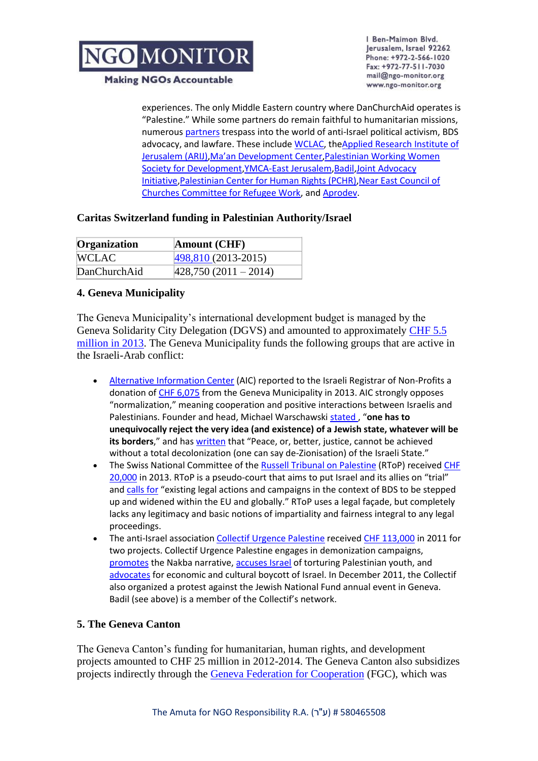

Ben-Maimon Blvd. Jerusalem, Israel 92262 Phone: +972-2-566-1020 Fax: +972-77-511-7030 mail@ngo-monitor.org www.ngo-monitor.org

**Making NGOs Accountable** 

experiences. The only Middle Eastern country where DanChurchAid operates is "Palestine." While some partners do remain faithful to humanitarian missions, numerous [partners](http://www.danchurchaid.org/projects/middle-east/palestine/partners#Advocacy) trespass into the world of anti-Israel political activism, BDS advocacy, and lawfare. These includ[e WCLAC,](http://www.bdsmovement.net/call) th[eApplied Research Institute of](http://www.ngo-monitor.org/article/applied_research_institute_jerusalem_arij_)  [Jerusalem \(ARIJ\),](http://www.ngo-monitor.org/article/applied_research_institute_jerusalem_arij_)[Ma'an Development Center](http://www.ngo-monitor.org/article/ma_an_development_center)[,Palestinian Working Women](http://www.bdsmovement.net/call)  [Society for Development](http://www.bdsmovement.net/call)[,YMCA-East Jerusalem](http://www.ngo-monitor.org/article/_european_union_support_for_extremist_and_politicized_ngos_)[,Badil](http://www.ngo-monitor.org/article/badil)[,Joint Advocacy](http://www.ngo-monitor.org/article/_european_union_support_for_extremist_and_politicized_ngos_)  [Initiative](http://www.ngo-monitor.org/article/_european_union_support_for_extremist_and_politicized_ngos_), Palestinian Center for Human Rights (PCHR), Near East Council of [Churches Committee for Refugee Work,](http://neccgaza.ps/) and [Aprodev.](http://www.aprodev.eu/index.php?option=com_content&view=article&id=124&Itemid=18&lang=en)

## **Caritas Switzerland funding in Palestinian Authority/Israel**

| <b>Organization</b> | <b>Amount (CHF)</b>    |
|---------------------|------------------------|
| <b>WCLAC</b>        | $ 498,810(2013-2015) $ |
| DanChurchAid        | $ 428,750(2011-2014) $ |

### **4. Geneva Municipality**

The Geneva Municipality's international development budget is managed by the Geneva Solidarity City Delegation (DGVS) and amounted to approximately [CHF 5.5](http://www.ville-geneve.ch/fileadmin/public/Departement_1/Autres_fichiers/Rapport_Activites_DGVS_2013_web.pdf)  [million in 2013.](http://www.ville-geneve.ch/fileadmin/public/Departement_1/Autres_fichiers/Rapport_Activites_DGVS_2013_web.pdf) The Geneva Municipality funds the following groups that are active in the Israeli-Arab conflict:

- [Alternative Information Center](http://www.ngo-monitor.org/article/alternative_information_center_aic_) (AIC) reported to the Israeli Registrar of Non-Profits a donation o[f CHF 6,075](http://www.alternativenews.org/english/images/stories/PDF/2013%20quarterly%20reports/second%20quarter%202013.pdf) from the Geneva Municipality in 2013. AIC strongly opposes "normalization," meaning cooperation and positive interactions between Israelis and Palestinians. Founder and head, Michael Warschawski [stated](http://www.alternativenews.org/english/index.php/blogs/michael-warschawski/1251-the-palestinian-return-and-right-of-returnno-deal) , "**one has to unequivocally reject the very idea (and existence) of a Jewish state, whatever will be its borders**," and has [written](http://www.israeli-occupation.org/2009-10-08/michael-warschawski-yes-to-boycott-divestment-and-sanctions-bds/) that "Peace, or, better, justice, cannot be achieved without a total decolonization (one can say de-Zionisation) of the Israeli State."
- The Swiss National Committee of the [Russell Tribunal on Palestine](http://www.ngo-monitor.org/article/russell_tribunal_on_palestine) (RToP) received CHF [20,000](http://www.ville-geneve.ch/fileadmin/public/Departement_1/Autres_fichiers/Rapport_Activites_DGVS_2013_web.pdf) in 2013. RToP is a pseudo-court that aims to put Israel and its allies on "trial" and [calls for](http://sjp.eusa.ed.ac.uk/russell-tribunal-on-palestine-finds-eu-states-guilty-of-breaches-of-international-and-internal-eu-law/) "existing legal actions and campaigns in the context of BDS to be stepped up and widened within the EU and globally." RToP uses a legal façade, but completely lacks any legitimacy and basic notions of impartiality and fairness integral to any legal proceedings.
- The anti-Israel association [Collectif Urgence Palestine](http://www.urgencepalestine.ch/Agenda/news.html) receive[d CHF 113,000](http://www.ville-geneve.ch/fileadmin/public/Departement_1/Publications/projets-soutenus-dgvs-liste-2011-ville-de-geneve.pdf) in 2011 for two projects. Collectif Urgence Palestine engages in demonization campaigns, [promotes](http://www.urgencepalestine.ch/Agenda/agenda14.html#ExpoNakba) the Nakba narrative, [accuses Israel](http://www.urgencepalestine.ch/Agenda/news.html) of torturing Palestinian youth, and [advocates](http://www.urgencepalestine.ch/Activites/BDS.html) for economic and cultural boycott of Israel. In December 2011, the Collectif also organized a protest against the Jewish National Fund annual event in Geneva. Badil (see above) is a member of the Collectif's network.

### **5. The Geneva Canton**

The Geneva Canton's funding for humanitarian, human rights, and development projects amounted to CHF 25 million in 2012-2014. The Geneva Canton also subsidizes projects indirectly through the [Geneva Federation for Cooperation](http://fgc.federeso.ch/fgc) (FGC), which was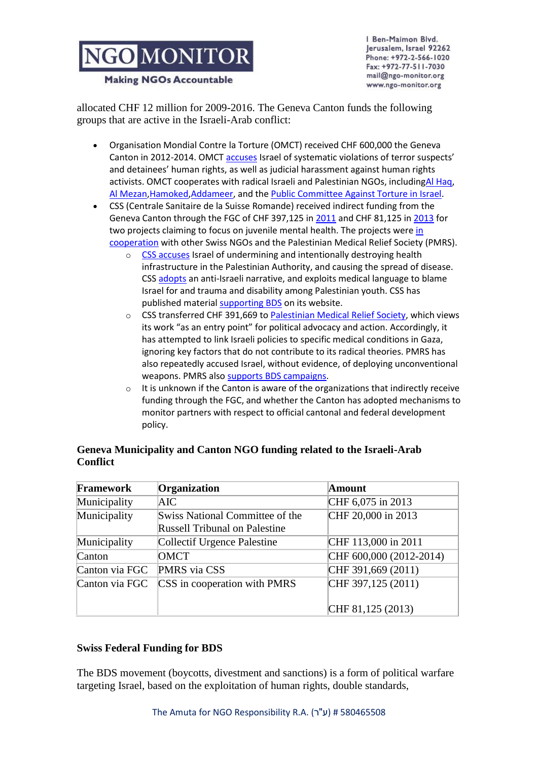**Making NGOs Accountable** 

Ben-Maimon Blvd. Jerusalem, Israel 92262 Phone: +972-2-566-1020 Fax: +972-77-511-7030 mail@ngo-monitor.org www.ngo-monitor.org

allocated CHF 12 million for 2009-2016. The Geneva Canton funds the following groups that are active in the Israeli-Arab conflict:

- Organisation Mondial Contre la Torture (OMCT) received CHF 600,000 the Geneva Canton in 2012-2014. OMCT [accuses](http://www.omct.org/israel/) Israel of systematic violations of terror suspects' and detainees' human rights, as well as judicial harassment against human rights activists. OMCT cooperates with radical Israeli and Palestinian NGOs, includin[gAl Haq,](http://www.ngo-monitor.org/article/al_haq) [Al Mezan](http://www.ngo-monitor.org/article/al_mezan_center_for_human_rights)[,Hamoked,](http://www.ngo-monitor.org/article/hamoked_center_for_the_defense_of_the_individual)[Addameer,](http://www.ngo-monitor.org/article/addameer) and the [Public Committee Against Torture in Israel.](http://www.ngo-monitor.org/article/public_committee_against_torture_in_israel_pcati_)
- CSS (Centrale Sanitaire de la Suisse Romande) received indirect funding from the Geneva Canton through the FGC of CHF 397,125 i[n 2011](http://fgc.federeso.ch/rapports-annuels-pv-ag-comptes) and CHF 81,125 in [2013](http://federeso.ch/sites/default/files/rapport_activites_2013.pdf) for two projects claiming to focus on juvenile mental health. The projects were in [cooperation](http://www.css-romande.ch/downloads/palestine/cssr_video_2011-2013.pdf) with other Swiss NGOs and the Palestinian Medical Relief Society (PMRS).
	- o [CSS accuses](http://www.css-romande.ch/palestine-situation.php) Israel of undermining and intentionally destroying health infrastructure in the Palestinian Authority, and causing the spread of disease. CS[S adopts](http://www.css-romande.ch/palestine-situation.php) an anti-Israeli narrative, and exploits medical language to blame Israel for and trauma and disability among Palestinian youth. CSS has published material [supporting BDS](http://www.css-romande.ch/documentation_pays.php) on its website.
	- o CSS transferred CHF 391,669 t[o Palestinian Medical Relief Society,](http://www.ngo-monitor.org/article/palestinian_medical_relief_society_pmrs_) which views its work "as an entry point" for political advocacy and action. Accordingly, it has attempted to link Israeli policies to specific medical conditions in Gaza, ignoring key factors that do not contribute to its radical theories. PMRS has also repeatedly accused Israel, without evidence, of deploying unconventional weapons. PMRS als[o supports BDS campaigns.](http://www.pmrs.ps/details.php?id=ct9ji2a3348yherzch1w1)
	- $\circ$  It is unknown if the Canton is aware of the organizations that indirectly receive funding through the FGC, and whether the Canton has adopted mechanisms to monitor partners with respect to official cantonal and federal development policy.

| Framework      | Organization                                                            | Amount                  |
|----------------|-------------------------------------------------------------------------|-------------------------|
| Municipality   | AIC                                                                     | CHF 6,075 in 2013       |
| Municipality   | Swiss National Committee of the<br><b>Russell Tribunal on Palestine</b> | CHF 20,000 in 2013      |
| Municipality   | Collectif Urgence Palestine                                             | CHF 113,000 in 2011     |
| Canton         | <b>OMCT</b>                                                             | CHF 600,000 (2012-2014) |
| Canton via FGC | PMRS via CSS                                                            | CHF 391,669 $(2011)$    |
| Canton via FGC | CSS in cooperation with PMRS                                            | CHF 397,125 $(2011)$    |
|                |                                                                         | CHF 81,125 $(2013)$     |

# **Geneva Municipality and Canton NGO funding related to the Israeli-Arab Conflict**

## **Swiss Federal Funding for BDS**

The BDS movement (boycotts, divestment and sanctions) is a form of political warfare targeting Israel, based on the exploitation of human rights, double standards,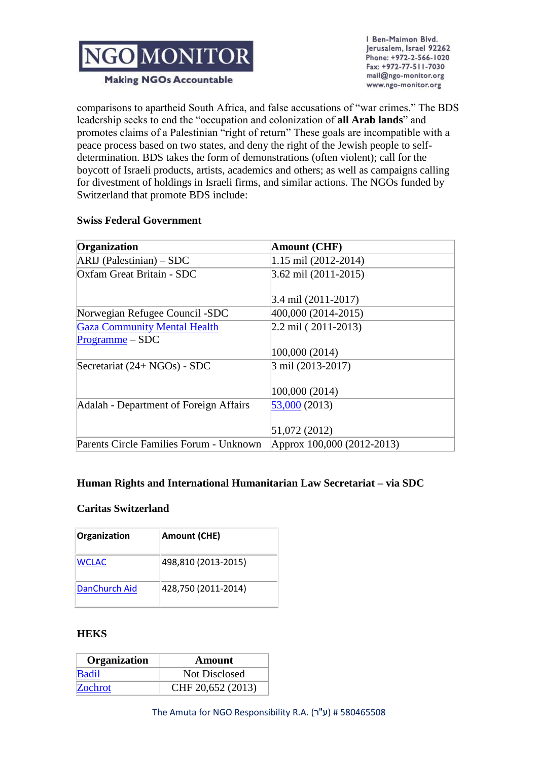

Ben-Maimon Blvd. Jerusalem, Israel 92262 Phone: +972-2-566-1020 Fax: +972-77-511-7030 mail@ngo-monitor.org www.ngo-monitor.org

**Making NGOs Accountable** 

comparisons to apartheid South Africa, and false accusations of "war crimes." The BDS leadership seeks to end the "occupation and colonization of **all Arab lands**" and promotes claims of a Palestinian "right of return" These goals are incompatible with a peace process based on two states, and deny the right of the Jewish people to selfdetermination. BDS takes the form of demonstrations (often violent); call for the boycott of Israeli products, artists, academics and others; as well as campaigns calling for divestment of holdings in Israeli firms, and similar actions. The NGOs funded by Switzerland that promote BDS include:

## **Swiss Federal Government**

| Organization                            | <b>Amount (CHF)</b>        |
|-----------------------------------------|----------------------------|
| $ARIJ$ (Palestinian) – SDC              | 1.15 mil (2012-2014)       |
| Oxfam Great Britain - SDC               | 3.62 mil (2011-2015)       |
|                                         | 3.4 mil (2011-2017)        |
| Norwegian Refugee Council -SDC          | 400,000 (2014-2015)        |
| <b>Gaza Community Mental Health</b>     | $2.2$ mil (2011-2013)      |
| $Programme - SDC$                       |                            |
|                                         | 100,000 (2014)             |
| Secretariat (24+ NGOs) - SDC            | 3 mil (2013-2017)          |
|                                         |                            |
|                                         | 100,000 (2014)             |
| Adalah - Department of Foreign Affairs  | 53,000 (2013)              |
|                                         |                            |
|                                         | 51,072 (2012)              |
| Parents Circle Families Forum - Unknown | Approx 100,000 (2012-2013) |

## **Human Rights and International Humanitarian Law Secretariat – via SDC**

### **Caritas Switzerland**

| Organization  | <b>Amount (CHE)</b> |
|---------------|---------------------|
| <b>WCLAC</b>  | 498,810 (2013-2015) |
| DanChurch Aid | 428,750 (2011-2014) |

### **HEKS**

| Organization | Amount            |
|--------------|-------------------|
| <b>Badil</b> | Not Disclosed     |
| Zochrot      | CHF 20,652 (2013) |